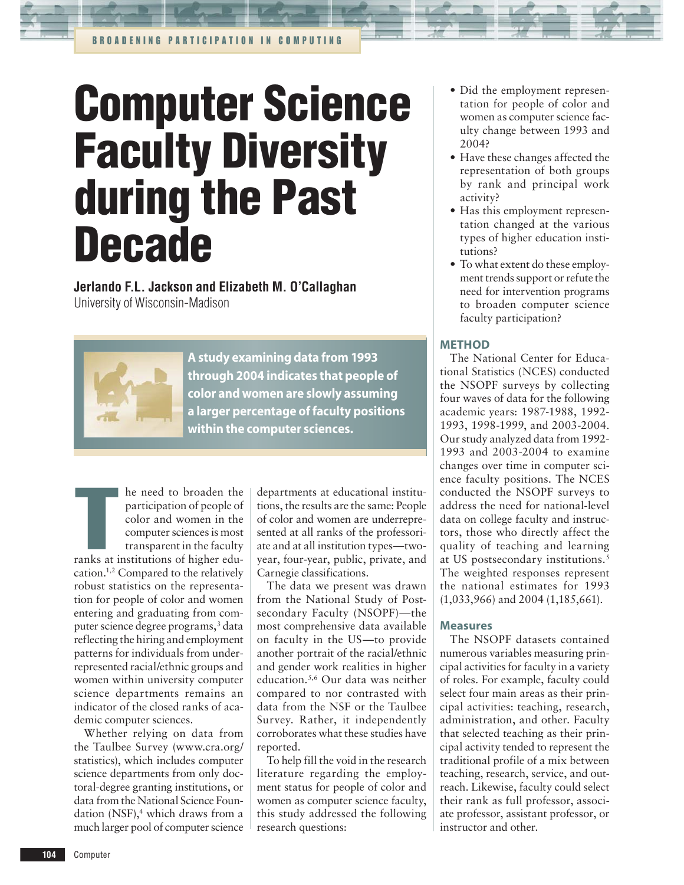# **Computer Science Faculty Diversity during the Past Decade**

**Jerlando F.L. Jackson and Elizabeth M. O'Callaghan** University of Wisconsin-Madison



A study examining data from 1993 through 2004 indicates that people of color and women are slowly assuming a larger percentage of faculty positions within the computer sciences.

**Example 18 Except** to broaden the participation of people of color and women in the computer sciences is most transparent in the faculty ranks at institutions of higher eduhe need to broaden the participation of people of color and women in the computer sciences is most transparent in the faculty cation.1,2 Compared to the relatively robust statistics on the representation for people of color and women entering and graduating from computer science degree programs,<sup>3</sup> data reflecting the hiring and employment patterns for individuals from underrepresented racial/ethnic groups and women within university computer science departments remains an indicator of the closed ranks of academic computer sciences.

Whether relying on data from the Taulbee Survey (www.cra.org/ statistics), which includes computer science departments from only doctoral-degree granting institutions, or data from the National Science Foundation (NSF),<sup>4</sup> which draws from a much larger pool of computer science

departments at educational institutions, the results are the same: People of color and women are underrepresented at all ranks of the professoriate and at all institution types—twoyear, four-year, public, private, and Carnegie classifications.

The data we present was drawn from the National Study of Postsecondary Faculty (NSOPF)—the most comprehensive data available on faculty in the US—to provide another portrait of the racial/ethnic and gender work realities in higher education.5,6 Our data was neither compared to nor contrasted with data from the NSF or the Taulbee Survey. Rather, it independently corroborates what these studies have reported.

To help fill the void in the research literature regarding the employment status for people of color and women as computer science faculty, this study addressed the following research questions:

- Did the employment representation for people of color and women as computer science faculty change between 1993 and 2004?
- Have these changes affected the representation of both groups by rank and principal work activity?
- Has this employment representation changed at the various types of higher education institutions?
- To what extent do these employ-•ment trends support or refute the need for intervention programs to broaden computer science faculty participation?

## METHOD

The National Center for Educational Statistics (NCES) conducted the NSOPF surveys by collecting four waves of data for the following academic years: 1987-1988, 1992- 1993, 1998-1999, and 2003-2004. Our study analyzed data from 1992- 1993 and 2003-2004 to examine changes over time in computer science faculty positions. The NCES conducted the NSOPF surveys to address the need for national-level data on college faculty and instructors, those who directly affect the quality of teaching and learning at US postsecondary institutions.<sup>5</sup> The weighted responses represent the national estimates for 1993 (1,033,966) and 2004 (1,185,661).

## Measures

The NSOPF datasets contained numerous variables measuring principal activities for faculty in a variety of roles. For example, faculty could select four main areas as their principal activities: teaching, research, administration, and other. Faculty that selected teaching as their principal activity tended to represent the traditional profile of a mix between teaching, research, service, and outreach. Likewise, faculty could select their rank as full professor, associate professor, assistant professor, or instructor and other.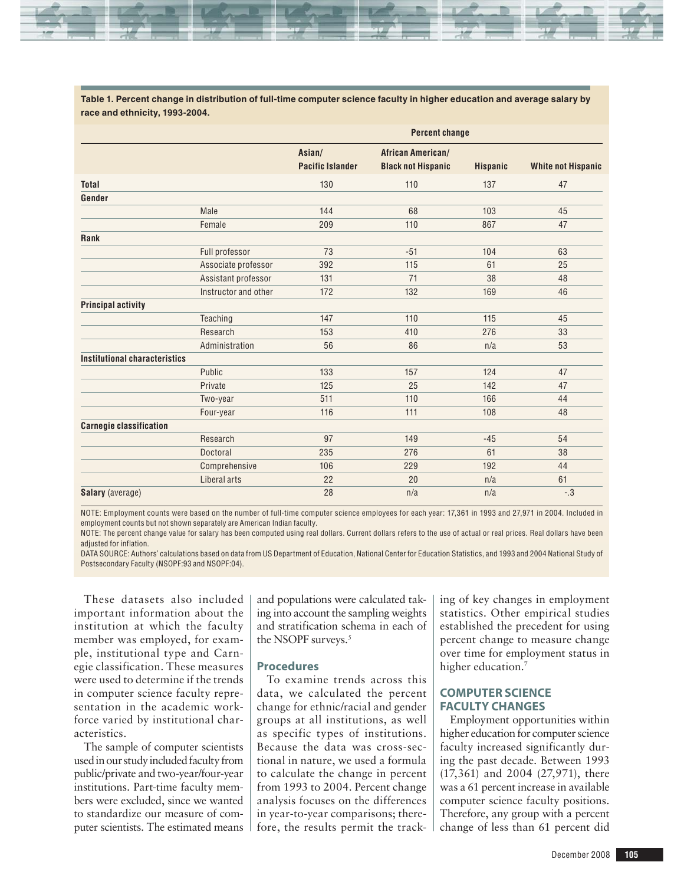

**Table 1. Percent change in distribution of full-time computer science faculty in higher education and average salary by race and ethnicity, 1993-2004.**

|                                |                      | <b>Percent change</b>             |                                                       |                 |                           |  |  |
|--------------------------------|----------------------|-----------------------------------|-------------------------------------------------------|-----------------|---------------------------|--|--|
|                                |                      | Asian/<br><b>Pacific Islander</b> | <b>African American/</b><br><b>Black not Hispanic</b> | <b>Hispanic</b> | <b>White not Hispanic</b> |  |  |
| <b>Total</b>                   |                      | 130                               | 110                                                   | 137             | 47                        |  |  |
| Gender                         |                      |                                   |                                                       |                 |                           |  |  |
|                                | Male                 | 144                               | 68                                                    | 103             | 45                        |  |  |
|                                | Female               | 209                               | 110                                                   | 867             | 47                        |  |  |
| Rank                           |                      |                                   |                                                       |                 |                           |  |  |
|                                | Full professor       | 73                                | $-51$                                                 | 104             | 63                        |  |  |
|                                | Associate professor  | 392                               | 115                                                   | 61              | 25                        |  |  |
|                                | Assistant professor  | 131                               | 71                                                    | 38              | 48                        |  |  |
|                                | Instructor and other | 172                               | 132                                                   | 169             | 46                        |  |  |
| <b>Principal activity</b>      |                      |                                   |                                                       |                 |                           |  |  |
|                                | Teaching             | 147                               | 110                                                   | 115             | 45                        |  |  |
|                                | Research             | 153                               | 410                                                   | 276             | 33                        |  |  |
|                                | Administration       | 56                                | 86                                                    | n/a             | 53                        |  |  |
| Institutional characteristics  |                      |                                   |                                                       |                 |                           |  |  |
|                                | Public               | 133                               | 157                                                   | 124             | 47                        |  |  |
|                                | Private              | 125                               | 25                                                    | 142             | 47                        |  |  |
|                                | Two-year             | 511                               | 110                                                   | 166             | 44                        |  |  |
|                                | Four-year            | 116                               | 111                                                   | 108             | 48                        |  |  |
| <b>Carnegie classification</b> |                      |                                   |                                                       |                 |                           |  |  |
|                                | Research             | 97                                | 149                                                   | $-45$           | 54                        |  |  |
|                                | Doctoral             | 235                               | 276                                                   | 61              | 38                        |  |  |
|                                | Comprehensive        | 106                               | 229                                                   | 192             | 44                        |  |  |
|                                | Liberal arts         | 22                                | 20                                                    | n/a             | 61                        |  |  |
| <b>Salary</b> (average)        |                      | 28                                | n/a                                                   | n/a             | $-.3$                     |  |  |

NOTE: Employment counts were based on the number of full-time computer science employees for each year: 17,361 in 1993 and 27,971 in 2004. Included in employment counts but not shown separately are American Indian faculty.

NOTE: The percent change value for salary has been computed using real dollars. Current dollars refers to the use of actual or real prices. Real dollars have been adjusted for inflation.

DATA SOURCE: Authors' calculations based on data from US Department of Education, National Center for Education Statistics, and 1993 and 2004 National Study of Postsecondary Faculty (NSOPF:93 and NSOPF:04).

These datasets also included important information about the institution at which the faculty member was employed, for example, institutional type and Carnegie classification. These measures were used to determine if the trends in computer science faculty representation in the academic workforce varied by institutional characteristics.

The sample of computer scientists used in our study included faculty from public/private and two-year/four-year institutions. Part-time faculty members were excluded, since we wanted to standardize our measure of computer scientists. The estimated means

and populations were calculated taking into account the sampling weights and stratification schema in each of the NSOPF surveys.<sup>5</sup>

### Procedures

To examine trends across this data, we calculated the percent change for ethnic/racial and gender groups at all institutions, as well as specific types of institutions. Because the data was cross-sectional in nature, we used a formula to calculate the change in percent from 1993 to 2004. Percent change analysis focuses on the differences in year-to-year comparisons; therefore, the results permit the tracking of key changes in employment statistics. Other empirical studies established the precedent for using percent change to measure change over time for employment status in higher education.<sup>7</sup>

## COMPUTER SCIENCE FACULTY CHANGES

Employment opportunities within higher education for computer science faculty increased significantly during the past decade. Between 1993 (17,361) and 2004 (27,971), there was a 61 percent increase in available computer science faculty positions. Therefore, any group with a percent change of less than 61 percent did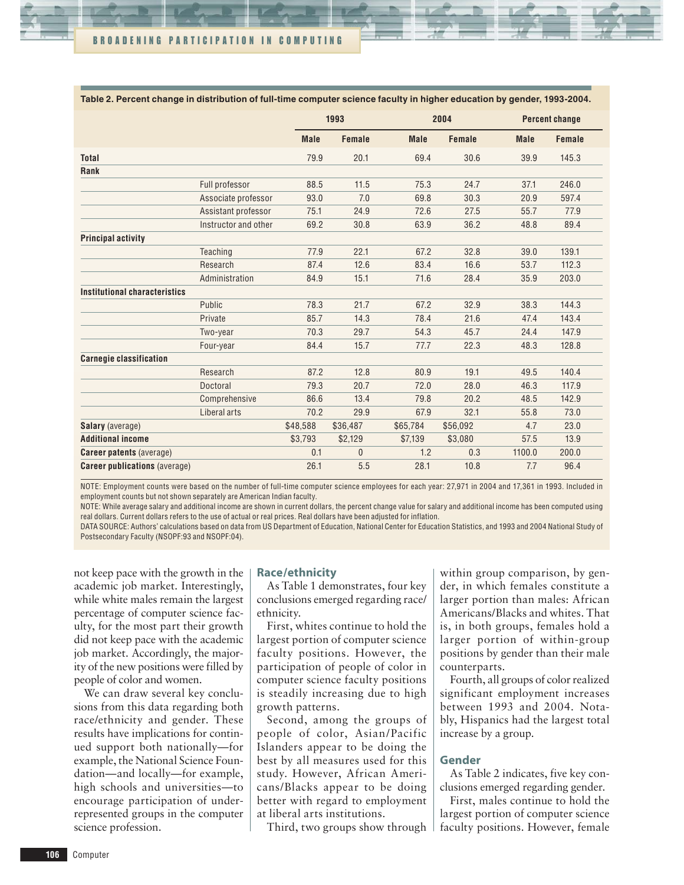| Table 2. Percent change in distribution of full-time computer science faculty in higher education by gender, 1993-2004. |                      |             |              |             |               |             |                       |  |  |
|-------------------------------------------------------------------------------------------------------------------------|----------------------|-------------|--------------|-------------|---------------|-------------|-----------------------|--|--|
|                                                                                                                         |                      | 1993        |              |             | 2004          |             | <b>Percent change</b> |  |  |
|                                                                                                                         |                      | <b>Male</b> | Female       | <b>Male</b> | <b>Female</b> | <b>Male</b> | Female                |  |  |
| <b>Total</b>                                                                                                            |                      | 79.9        | 20.1         | 69.4        | 30.6          | 39.9        | 145.3                 |  |  |
| Rank                                                                                                                    |                      |             |              |             |               |             |                       |  |  |
|                                                                                                                         | Full professor       | 88.5        | 11.5         | 75.3        | 24.7          | 37.1        | 246.0                 |  |  |
|                                                                                                                         | Associate professor  | 93.0        | 7.0          | 69.8        | 30.3          | 20.9        | 597.4                 |  |  |
|                                                                                                                         | Assistant professor  | 75.1        | 24.9         | 72.6        | 27.5          | 55.7        | 77.9                  |  |  |
|                                                                                                                         | Instructor and other | 69.2        | 30.8         | 63.9        | 36.2          | 48.8        | 89.4                  |  |  |
| <b>Principal activity</b>                                                                                               |                      |             |              |             |               |             |                       |  |  |
|                                                                                                                         | Teaching             | 77.9        | 22.1         | 67.2        | 32.8          | 39.0        | 139.1                 |  |  |
|                                                                                                                         | Research             | 87.4        | 12.6         | 83.4        | 16.6          | 53.7        | 112.3                 |  |  |
|                                                                                                                         | Administration       | 84.9        | 15.1         | 71.6        | 28.4          | 35.9        | 203.0                 |  |  |
| Institutional characteristics                                                                                           |                      |             |              |             |               |             |                       |  |  |
|                                                                                                                         | Public               | 78.3        | 21.7         | 67.2        | 32.9          | 38.3        | 144.3                 |  |  |
|                                                                                                                         | Private              | 85.7        | 14.3         | 78.4        | 21.6          | 47.4        | 143.4                 |  |  |
|                                                                                                                         | Two-year             | 70.3        | 29.7         | 54.3        | 45.7          | 24.4        | 147.9                 |  |  |
|                                                                                                                         | Four-year            | 84.4        | 15.7         | 77.7        | 22.3          | 48.3        | 128.8                 |  |  |
| <b>Carnegie classification</b>                                                                                          |                      |             |              |             |               |             |                       |  |  |
|                                                                                                                         | Research             | 87.2        | 12.8         | 80.9        | 19.1          | 49.5        | 140.4                 |  |  |
|                                                                                                                         | Doctoral             | 79.3        | 20.7         | 72.0        | 28.0          | 46.3        | 117.9                 |  |  |
|                                                                                                                         | Comprehensive        | 86.6        | 13.4         | 79.8        | 20.2          | 48.5        | 142.9                 |  |  |
|                                                                                                                         | Liberal arts         | 70.2        | 29.9         | 67.9        | 32.1          | 55.8        | 73.0                  |  |  |
| <b>Salary</b> (average)                                                                                                 |                      | \$48,588    | \$36,487     | \$65,784    | \$56,092      | 4.7         | 23.0                  |  |  |
| <b>Additional income</b>                                                                                                |                      | \$3,793     | \$2,129      | \$7,139     | \$3,080       | 57.5        | 13.9                  |  |  |
| <b>Career patents (average)</b>                                                                                         |                      | 0.1         | $\mathbf{0}$ | 1.2         | 0.3           | 1100.0      | 200.0                 |  |  |
| <b>Career publications (average)</b>                                                                                    |                      | 26.1        | 5.5          | 28.1        | 10.8          | 7.7         | 96.4                  |  |  |

**Table 2. Percent change in distribution of full-time computer science faculty in higher education by gender, 1993-2004.**

NOTE: Employment counts were based on the number of full-time computer science employees for each year: 27,971 in 2004 and 17,361 in 1993. Included in employment counts but not shown separately are American Indian faculty.

NOTE: While average salary and additional income are shown in current dollars, the percent change value for salary and additional income has been computed using real dollars. Current dollars refers to the use of actual or real prices. Real dollars have been adjusted for inflation.

DATA SOURCE: Authors' calculations based on data from US Department of Education, National Center for Education Statistics, and 1993 and 2004 National Study of Postsecondary Faculty (NSOPF:93 and NSOPF:04).

not keep pace with the growth in the academic job market. Interestingly, while white males remain the largest percentage of computer science faculty, for the most part their growth did not keep pace with the academic job market. Accordingly, the majority of the new positions were filled by people of color and women.

We can draw several key conclusions from this data regarding both race/ethnicity and gender. These results have implications for continued support both nationally—for example, the National Science Foundation—and locally—for example, high schools and universities—to encourage participation of underrepresented groups in the computer science profession.

### Race/ethnicity

As Table 1 demonstrates, four key conclusions emerged regarding race/ ethnicity.

First, whites continue to hold the largest portion of computer science faculty positions. However, the participation of people of color in computer science faculty positions is steadily increasing due to high growth patterns.

Second, among the groups of people of color, Asian/Pacific Islanders appear to be doing the best by all measures used for this study. However, African Americans/Blacks appear to be doing better with regard to employment at liberal arts institutions.

Third, two groups show through

within group comparison, by gender, in which females constitute a larger portion than males: African Americans/Blacks and whites. That is, in both groups, females hold a larger portion of within-group positions by gender than their male counterparts.

Fourth, all groups of color realized significant employment increases between 1993 and 2004. Notably, Hispanics had the largest total increase by a group.

### Gender

As Table 2 indicates, five key conclusions emerged regarding gender.

First, males continue to hold the largest portion of computer science faculty positions. However, female